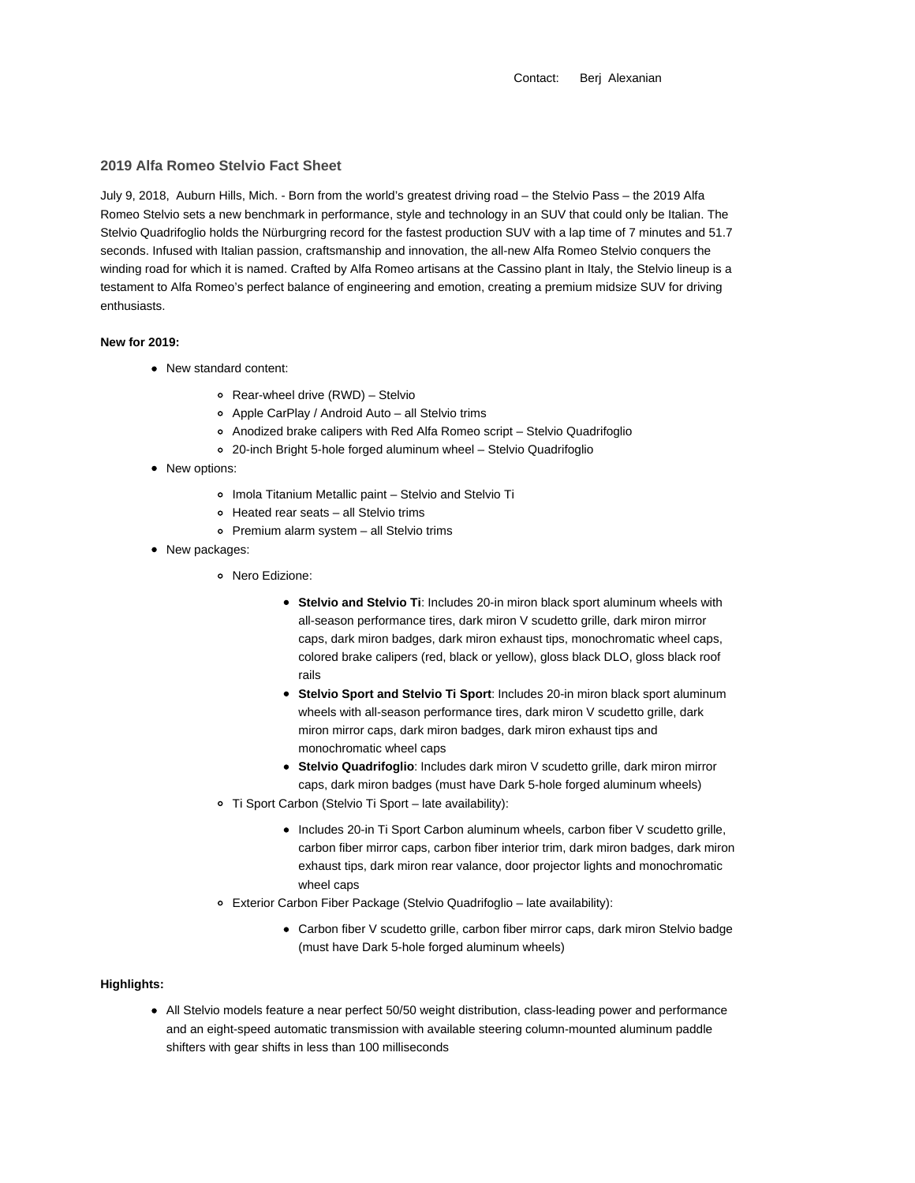Contact: Berj Alexanian

### **2019 Alfa Romeo Stelvio Fact Sheet**

July 9, 2018, Auburn Hills, Mich. - Born from the world's greatest driving road – the Stelvio Pass – the 2019 Alfa Romeo Stelvio sets a new benchmark in performance, style and technology in an SUV that could only be Italian. The Stelvio Quadrifoglio holds the Nürburgring record for the fastest production SUV with a lap time of 7 minutes and 51.7 seconds. Infused with Italian passion, craftsmanship and innovation, the all-new Alfa Romeo Stelvio conquers the winding road for which it is named. Crafted by Alfa Romeo artisans at the Cassino plant in Italy, the Stelvio lineup is a testament to Alfa Romeo's perfect balance of engineering and emotion, creating a premium midsize SUV for driving enthusiasts.

#### **New for 2019:**

- New standard content:
	- Rear-wheel drive (RWD) Stelvio
	- Apple CarPlay / Android Auto all Stelvio trims
	- Anodized brake calipers with Red Alfa Romeo script Stelvio Quadrifoglio
	- 20-inch Bright 5-hole forged aluminum wheel Stelvio Quadrifoglio
- New options:
	- o Imola Titanium Metallic paint Stelvio and Stelvio Ti
	- Heated rear seats all Stelvio trims
	- Premium alarm system all Stelvio trims
- New packages:
	- Nero Edizione:
		- **Stelvio and Stelvio Ti**: Includes 20-in miron black sport aluminum wheels with all-season performance tires, dark miron V scudetto grille, dark miron mirror caps, dark miron badges, dark miron exhaust tips, monochromatic wheel caps, colored brake calipers (red, black or yellow), gloss black DLO, gloss black roof rails
		- **Stelvio Sport and Stelvio Ti Sport**: Includes 20-in miron black sport aluminum wheels with all-season performance tires, dark miron V scudetto grille, dark miron mirror caps, dark miron badges, dark miron exhaust tips and monochromatic wheel caps
		- **Stelvio Quadrifoglio**: Includes dark miron V scudetto grille, dark miron mirror caps, dark miron badges (must have Dark 5-hole forged aluminum wheels)
	- Ti Sport Carbon (Stelvio Ti Sport late availability):
		- Includes 20-in Ti Sport Carbon aluminum wheels, carbon fiber V scudetto grille, carbon fiber mirror caps, carbon fiber interior trim, dark miron badges, dark miron exhaust tips, dark miron rear valance, door projector lights and monochromatic wheel caps
	- Exterior Carbon Fiber Package (Stelvio Quadrifoglio late availability):
		- Carbon fiber V scudetto grille, carbon fiber mirror caps, dark miron Stelvio badge (must have Dark 5-hole forged aluminum wheels)

# **Highlights:**

All Stelvio models feature a near perfect 50/50 weight distribution, class-leading power and performance and an eight-speed automatic transmission with available steering column-mounted aluminum paddle shifters with gear shifts in less than 100 milliseconds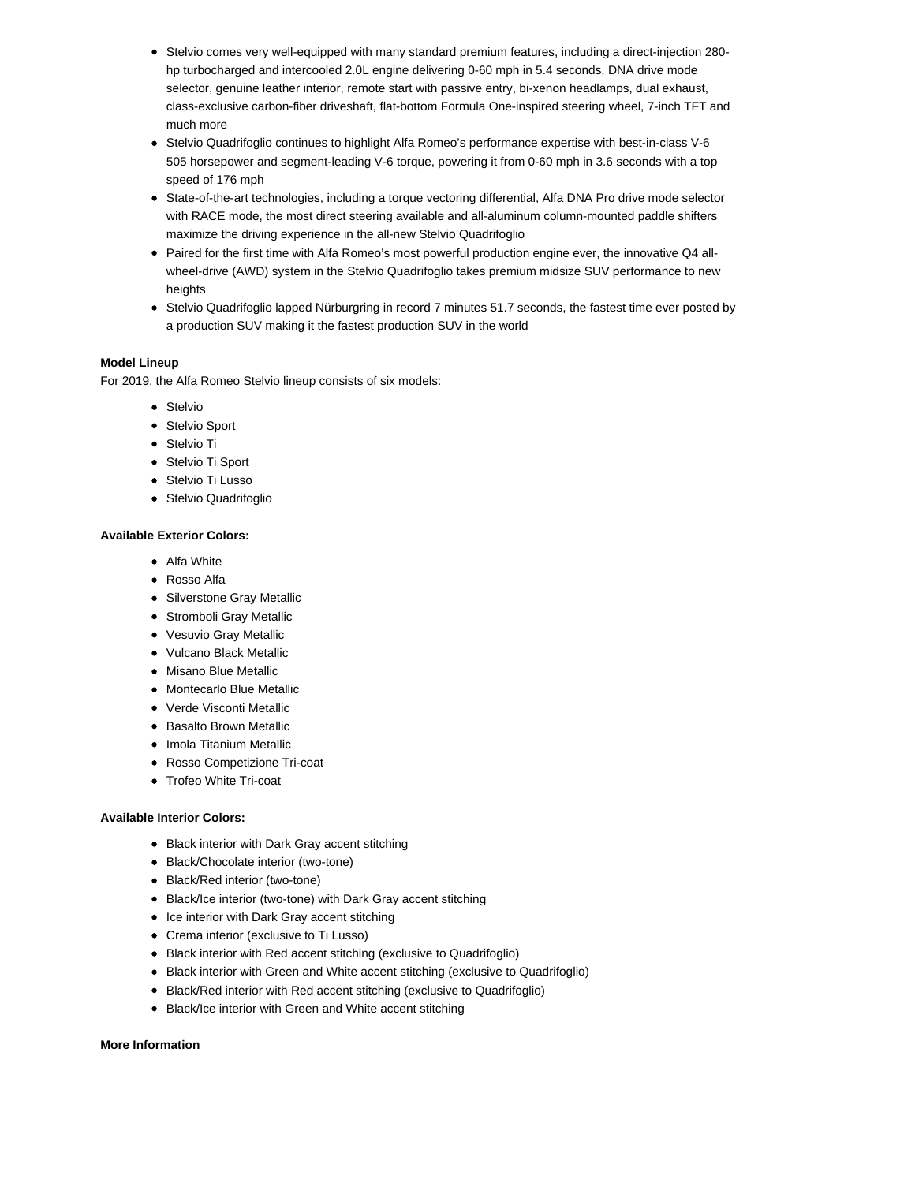- Stelvio comes very well-equipped with many standard premium features, including a direct-injection 280 hp turbocharged and intercooled 2.0L engine delivering 0-60 mph in 5.4 seconds, DNA drive mode selector, genuine leather interior, remote start with passive entry, bi-xenon headlamps, dual exhaust, class-exclusive carbon-fiber driveshaft, flat-bottom Formula One-inspired steering wheel, 7-inch TFT and much more
- Stelvio Quadrifoglio continues to highlight Alfa Romeo's performance expertise with best-in-class V-6 505 horsepower and segment-leading V-6 torque, powering it from 0-60 mph in 3.6 seconds with a top speed of 176 mph
- State-of-the-art technologies, including a torque vectoring differential, Alfa DNA Pro drive mode selector with RACE mode, the most direct steering available and all-aluminum column-mounted paddle shifters maximize the driving experience in the all-new Stelvio Quadrifoglio
- Paired for the first time with Alfa Romeo's most powerful production engine ever, the innovative Q4 allwheel-drive (AWD) system in the Stelvio Quadrifoglio takes premium midsize SUV performance to new heights
- Stelvio Quadrifoglio lapped Nürburgring in record 7 minutes 51.7 seconds, the fastest time ever posted by a production SUV making it the fastest production SUV in the world

## **Model Lineup**

For 2019, the Alfa Romeo Stelvio lineup consists of six models:

- **•** Stelvio
- Stelvio Sport
- Stelvio Ti
- Stelvio Ti Sport
- **•** Stelvio Ti Lusso
- Stelvio Quadrifoglio

#### **Available Exterior Colors:**

- Alfa White
- Rosso Alfa
- Silverstone Gray Metallic
- Stromboli Gray Metallic
- Vesuvio Gray Metallic
- Vulcano Black Metallic
- Misano Blue Metallic
- Montecarlo Blue Metallic
- Verde Visconti Metallic
- Basalto Brown Metallic
- Imola Titanium Metallic
- Rosso Competizione Tri-coat
- Trofeo White Tri-coat

#### **Available Interior Colors:**

- Black interior with Dark Gray accent stitching
- Black/Chocolate interior (two-tone)
- Black/Red interior (two-tone)
- Black/Ice interior (two-tone) with Dark Gray accent stitching
- Ice interior with Dark Gray accent stitching
- Crema interior (exclusive to Ti Lusso)
- Black interior with Red accent stitching (exclusive to Quadrifoglio)
- Black interior with Green and White accent stitching (exclusive to Quadrifoglio)
- Black/Red interior with Red accent stitching (exclusive to Quadrifoglio)
- Black/Ice interior with Green and White accent stitching

## **More Information**